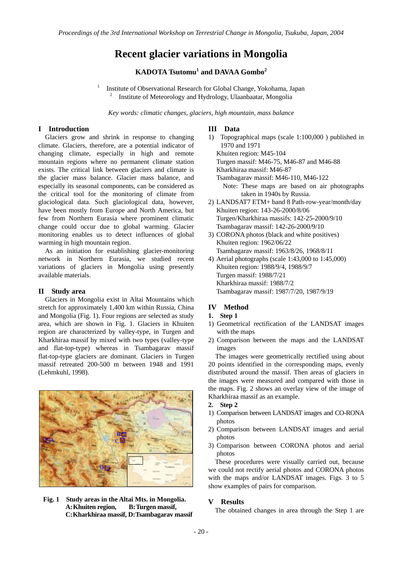# **Recent glacier variations in Mongolia**

## **KADOTA Tsutomu<sup>1</sup> and DAVAA Gombo<sup>2</sup>**

 Institute of Observational Research for Global Change, Yokohama, Japan 2 Institute of Meteorology and Hydrology, Ulaanbaatar, Mongolia

*Key words: climatic changes, glaciers, high mountain, mass balance* 

#### **I Introduction**

Glaciers grow and shrink in response to changing climate. Glaciers, therefore, are a potential indicator of changing climate, especially in high and remote mountain regions where no permanent climate station exists. The critical link between glaciers and climate is the glacier mass balance. Glacier mass balance, and especially its seasonal components, can be considered as the critical tool for the monitoring of climate from glaciological data. Such glaciological data, however, have been mostly from Europe and North America, but few from Northern Eurasia where prominent climatic change could occur due to global warming. Glacier monitoring enables us to detect influences of global warming in high mountain region.

1

As an initiation for establishing glacier-monitoring network in Northern Eurasia, we studied recent variations of glaciers in Mongolia using presently available materials.

### **II Study area**

 Glaciers in Mongolia exist in Altai Mountains which stretch for approximately 1,400 km within Russia, China and Mongolia (Fig. 1). Four regions are selected as study area, which are shown in Fig. 1. Glaciers in Khuiten region are characterized by valley-type, in Turgen and Kharkhiraa massif by mixed with two types (valley-type and flat-top-type) whereas in Tsambagarav massif flat-top-type glaciers are dominant. Glaciers in Turgen massif retreated 200-500 m between 1948 and 1991 (Lehmkuhl, 1998).



**Fig. 1 Study areas in the Altai Mts. in Mongolia.** A: Khuiten region, **C: Kharkhiraa massif, D: Tsambagarav massif**

#### **III Data**

- 1) Topographical maps (scale 1:100,000 ) published in 1970 and 1971 Khuiten region: M45-104 Turgen massif: M46-75, M46-87 and M46-88 Kharkhiraa massif: M46-87 Tsambagarav massif: M46-110, M46-122 Note: These maps are based on air photographs taken in 1940s by Russia.
- 2) LANDSAT7 ETM+ band 8 Path-row-year/month/day Khuiten region: 143-26-2000/8/06 Turgen/Kharkhiraa massifs: 142-25-2000/9/10 Tsambagarav massif: 142-26-2000/9/10
- 3) CORONA photos (black and white positives) Khuiten region: 1962/06/22 Tsambagarav massif: 1963/8/26, 1968/8/11
- 4) Aerial photographs (scale 1:43,000 to 1:45,000) Khuiten region: 1988/9/4, 1988/9/7 Turgen massif: 1988/7/21 Kharkhiraa massif: 1988/7/2 Tsambagarav massif: 1987/7/20, 1987/9/19

## **IV Method**

- **1. Step 1**
- 1) Geometrical rectification of the LANDSAT images with the maps
- 2) Comparison between the maps and the LANDSAT images

The images were geometrically rectified using about 20 points identified in the corresponding maps, evenly distributed around the massif. Then areas of glaciers in the images were measured and compared with those in the maps. Fig. 2 shows an overlay view of the image of Kharkhiraa massif as an example.

- **2. Step 2**
- 1) Comparison between LANDSAT images and CO-RONA photos
- 2) Comparison between LANDSAT images and aerial photos
- 3) Comparison between CORONA photos and aerial photos

These procedures were visually carried out, because we could not rectify aerial photos and CORONA photos with the maps and/or LANDSAT images. Figs. 3 to 5 show examples of pairs for comparison.

#### **V Results**

The obtained changes in area through the Step 1 are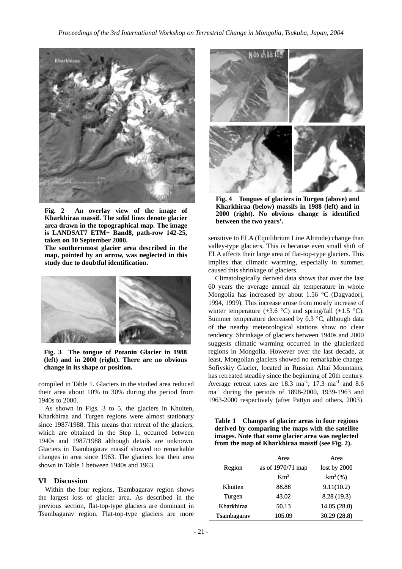

**Fig. 2 An overlay view of the image of Kharkhiraa massif. The solid lines denote glacier area drawn in the topographical map. The image is LANDSAT7 ETM+ Band8, path-row 142-25, taken on 10 September 2000.** 

**The southernmost glacier area described in the map, pointed by an arrow, was neglected in this study due to doubtful identification.** 



**Fig. 3 The tongue of Potanin Glacier in 1988 (left) and in 2000 (right). There are no obvious change in its shape or position.**

compiled in Table 1. Glaciers in the studied area reduced their area about 10% to 30% during the period from 1940s to 2000.

As shown in Figs. 3 to 5, the glaciers in Khuiten, Kharkhiraa and Turgen regions were almost stationary since 1987/1988. This means that retreat of the glaciers, which are obtained in the Step 1, occurred between 1940s and 1987/1988 although details are unknown. Glaciers in Tsambagarav massif showed no remarkable changes in area since 1963. The glaciers lost their area shown in Table 1 between 1940s and 1963.

#### **VI Discussion**

Within the four regions, Tsambagarav region shows the largest loss of glacier area. As described in the previous section, flat-top-type glaciers are dominant in Tsambagarav region. Flat-top-type glaciers are more



**Fig. 4 Tongues of glaciers in Turgen (above) and Kharkhiraa (below) massifs in 1988 (left) and in 2000 (right). No obvious change is identified between the two years'.**

sensitive to ELA (Equilibrium Line Altitude) change than valley-type glaciers. This is because even small shift of ELA affects their large area of flat-top-type glaciers. This implies that climatic warming, especially in summer, caused this shrinkage of glaciers.

Climatologically derived data shows that over the last 60 years the average annual air temperature in whole Mongolia has increased by about 1.56 °C (Dagvadorj, 1994, 1999). This increase arose from mostly increase of winter temperature  $(+3.6 \degree C)$  and spring/fall  $(+1.5 \degree C)$ . Summer temperature decreased by 0.3 °C, although data of the nearby meteorological stations show no clear tendency. Shrinkage of glaciers between 1940s and 2000 suggests climatic warming occurred in the glacierized regions in Mongolia. However over the last decade, at least, Mongolian glaciers showed no remarkable change. Sofiyskiy Glacier, located in Russian Altai Mountains, has retreated steadily since the beginning of 20th century. Average retreat rates are  $18.3 \text{ ma}^1$ ,  $17.3 \text{ ma}^1$  and  $8.6$ ma-1 during the periods of 1898-2000, 1939-1963 and 1963-2000 respectively (after Pattyn and others, 2003).

**Table 1 Changes of glacier areas in four regions derived by comparing the maps with the satellite images. Note that some glacier area was neglected from the map of Kharkhiraa massif (see Fig. 2).** 

|             | Area              | Area           |
|-------------|-------------------|----------------|
| Region      | as of 1970/71 map | lost by $2000$ |
|             | Km <sup>2</sup>   | $km^2$ (%)     |
| Khuiten     | 88.88             | 9.11(10.2)     |
| Turgen      | 43.02             | 8.28 (19.3)    |
| Kharkhiraa  | 50.13             | 14.05 (28.0)   |
| Tsambagarav | 105.09            | 30.29 (28.8)   |